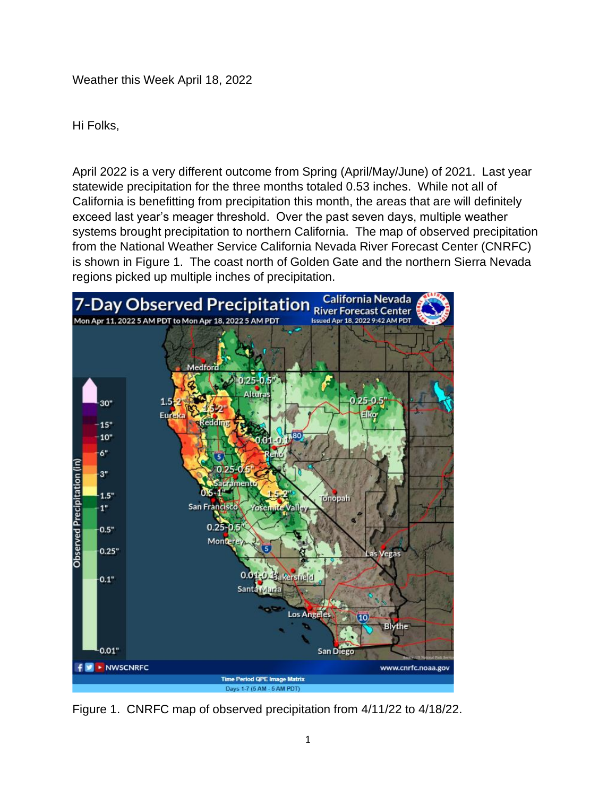Weather this Week April 18, 2022

Hi Folks,

April 2022 is a very different outcome from Spring (April/May/June) of 2021. Last year statewide precipitation for the three months totaled 0.53 inches. While not all of California is benefitting from precipitation this month, the areas that are will definitely exceed last year's meager threshold. Over the past seven days, multiple weather systems brought precipitation to northern California. The map of observed precipitation from the National Weather Service California Nevada River Forecast Center (CNRFC) is shown in Figure 1. The coast north of Golden Gate and the northern Sierra Nevada regions picked up multiple inches of precipitation.



Figure 1. CNRFC map of observed precipitation from 4/11/22 to 4/18/22.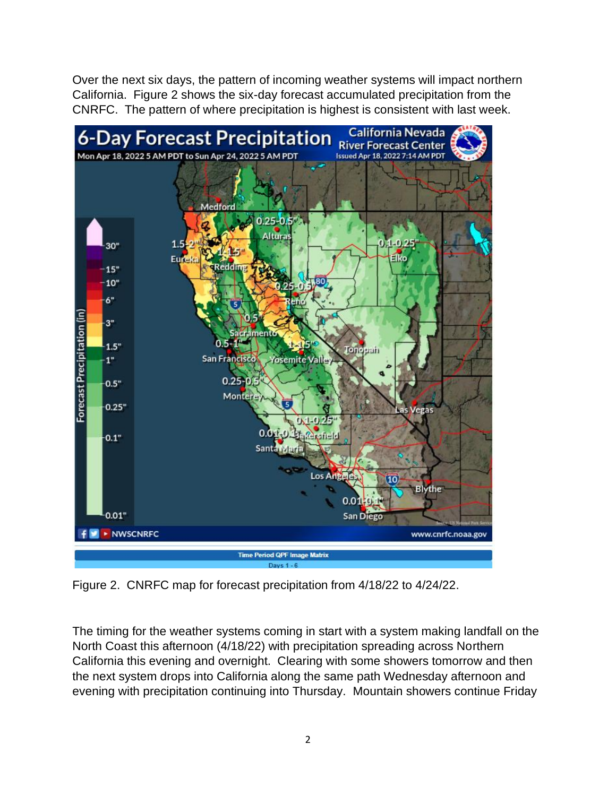Over the next six days, the pattern of incoming weather systems will impact northern California. Figure 2 shows the six-day forecast accumulated precipitation from the CNRFC. The pattern of where precipitation is highest is consistent with last week.



Figure 2. CNRFC map for forecast precipitation from 4/18/22 to 4/24/22.

The timing for the weather systems coming in start with a system making landfall on the North Coast this afternoon (4/18/22) with precipitation spreading across Northern California this evening and overnight. Clearing with some showers tomorrow and then the next system drops into California along the same path Wednesday afternoon and evening with precipitation continuing into Thursday. Mountain showers continue Friday